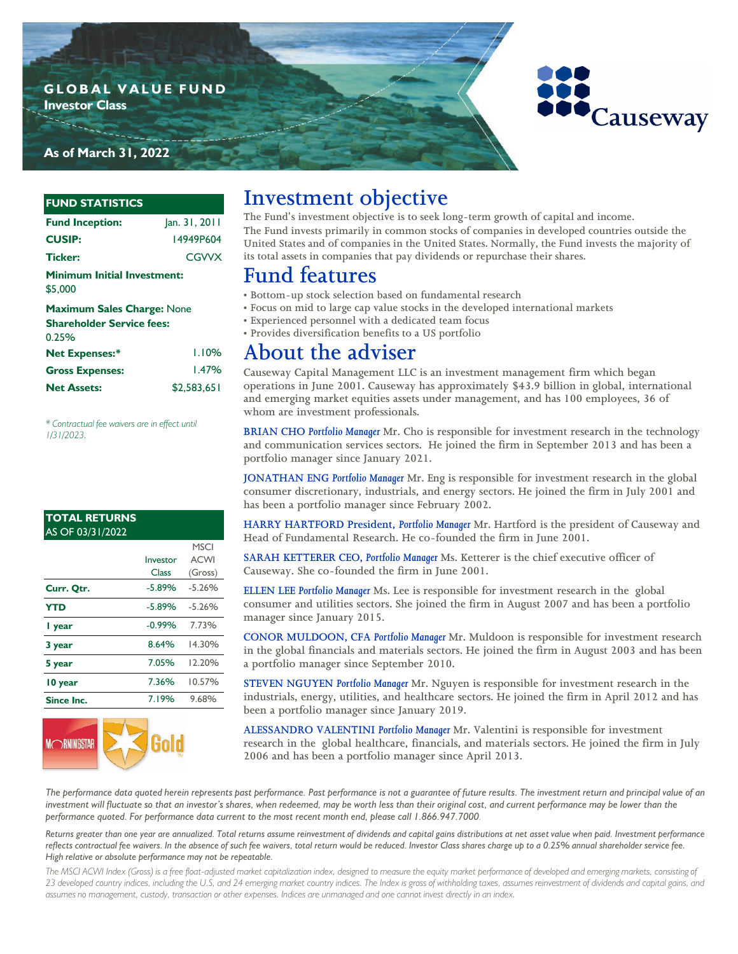### **G L O B A L V A L U E F U N D Investor Class**

## **As of March 31, 2022**

### **FUND STATISTICS**

| <b>Fund Inception:</b>                        | Jan. 31, 2011 |
|-----------------------------------------------|---------------|
| <b>CUSIP:</b>                                 | 14949P604     |
| <b>Ticker:</b>                                | CGWX          |
| <b>Minimum Initial Investment:</b><br>\$5,000 |               |
| <b>Maximum Sales Charge: None</b>             |               |
| <b>Shareholder Service fees:</b>              |               |
| 0.25%                                         |               |
| <b>Net Expenses:*</b>                         | LI0%          |
|                                               |               |

| <b>Net Expenses:*</b>  | 1.10%       |
|------------------------|-------------|
| <b>Gross Expenses:</b> | 1.47%       |
| <b>Net Assets:</b>     | \$2.583.651 |

*\* Contractual fee waivers are in effect until 1/31/2023.*

#### **TOTAL RETURNS**  AS OF 03/31/2022

|            |          | <b>MSCI</b> |
|------------|----------|-------------|
|            | Investor | <b>ACWI</b> |
|            | Class    | (Gross)     |
| Curr. Qtr. | $-5.89%$ | $-5.26%$    |
| <b>YTD</b> | $-5.89%$ | $-5.26%$    |
| I year     | $-0.99%$ | 7.73%       |
| 3 year     | 8.64%    | 14.30%      |
| 5 year     | 7.05%    | 12.20%      |
| 10 year    | 7.36%    | 10.57%      |
| Since Inc. | 7.19%    | 9.68%       |



# **Investment objective**

**The Fund's investment objective is to seek long-term growth of capital and income. The Fund invests primarily in common stocks of companies in developed countries outside the United States and of companies in the United States. Normally, the Fund invests the majority of its total assets in companies that pay dividends or repurchase their shares.**

## **Fund features**

- **Bottom-up stock selection based on fundamental research**
- **Focus on mid to large cap value stocks in the developed international markets**
- **Experienced personnel with a dedicated team focus**
- **Provides diversification benefits to a US portfolio**

## **About the adviser**

**Causeway Capital Management LLC is an investment management firm which began operations in June 2001. Causeway has approximately \$43.9 billion in global, international and emerging market equities assets under management, and has 100 employees, 36 of whom are investment professionals.** 

**BRIAN CHO** *Portfolio Manager* **Mr. Cho is responsible for investment research in the technology and communication services sectors. He joined the firm in September 2013 and has been a portfolio manager since January 2021.** 

**JONATHAN ENG** *Portfolio Manager* **Mr. Eng is responsible for investment research in the global consumer discretionary, industrials, and energy sectors. He joined the firm in July 2001 and has been a portfolio manager since February 2002.** 

**HARRY HARTFORD President,** *Portfolio Manager* **Mr. Hartford is the president of Causeway and Head of Fundamental Research. He co-founded the firm in June 2001.** 

**SARAH KETTERER CEO,** *Portfolio Manager* **Ms. Ketterer is the chief executive officer of Causeway. She co-founded the firm in June 2001.** 

**ELLEN LEE** *Portfolio Manager* **Ms. Lee is responsible for investment research in the global consumer and utilities sectors. She joined the firm in August 2007 and has been a portfolio manager since January 2015.** 

**CONOR MULDOON, CFA** *Portfolio Manager* **Mr. Muldoon is responsible for investment research in the global financials and materials sectors. He joined the firm in August 2003 and has been a portfolio manager since September 2010.**

**STEVEN NGUYEN** *Portfolio Manager* **Mr. Nguyen is responsible for investment research in the industrials, energy, utilities, and healthcare sectors. He joined the firm in April 2012 and has been a portfolio manager since January 2019.**

**ALESSANDRO VALENTINI** *Portfolio Manager* **Mr. Valentini is responsible for investment research in the global healthcare, financials, and materials sectors. He joined the firm in July 2006 and has been a portfolio manager since April 2013.**

*The performance data quoted herein represents past performance. Past performance is not a guarantee of future results. The investment return and principal value of an*  investment will fluctuate so that an investor's shares, when redeemed, may be worth less than their original cost, and current performance may be lower than the *performance quoted. For performance data current to the most recent month end, please call 1.866.947.7000.* 

*Returns greater than one year are annualized. Total returns assume reinvestment of dividends and capital gains distributions at net asset value when paid. Investment performance reflects contractual fee waivers. In the absence of such fee waivers, total return would be reduced. Investor Class shares charge up to a 0.25% annual shareholder service fee. High relative or absolute performance may not be repeatable.*

The MSCI ACWI Index (Gross) is a free float-adjusted market capitalization index, designed to measure the equity market performance of developed and emerging markets, consisting of *23 developed country indices, including the U.S, and 24 emerging market country indices. The Index is gross of withholding taxes, assumes reinvestment of dividends and capital gains, and assumes no management, custody, transaction or other expenses. Indices are unmanaged and one cannot invest directly in an index.*